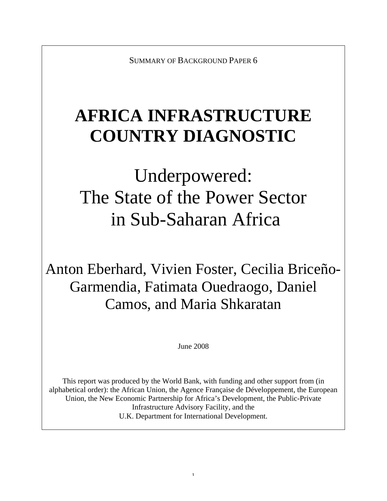SUMMARY OF BACKGROUND PAPER 6

## **AFRICA INFRASTRUCTURE COUNTRY DIAGNOSTIC**

# Underpowered: The State of the Power Sector in Sub-Saharan Africa

Anton Eberhard, Vivien Foster, Cecilia Briceño-Garmendia, Fatimata Ouedraogo, Daniel Camos, and Maria Shkaratan

June 2008

This report was produced by the World Bank, with funding and other support from (in alphabetical order): the African Union, the Agence Française de Développement, the European Union, the New Economic Partnership for Africa's Development, the Public-Private Infrastructure Advisory Facility, and the U.K. Department for International Development.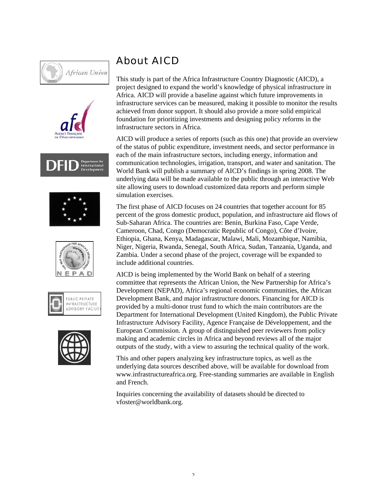













### About AICD

This study is part of the Africa Infrastructure Country Diagnostic (AICD), a project designed to expand the world's knowledge of physical infrastructure in Africa. AICD will provide a baseline against which future improvements in infrastructure services can be measured, making it possible to monitor the results achieved from donor support. It should also provide a more solid empirical foundation for prioritizing investments and designing policy reforms in the infrastructure sectors in Africa.

AICD will produce a series of reports (such as this one) that provide an overview of the status of public expenditure, investment needs, and sector performance in each of the main infrastructure sectors, including energy, information and communication technologies, irrigation, transport, and water and sanitation. The World Bank will publish a summary of AICD's findings in spring 2008. The underlying data will be made available to the public through an interactive Web site allowing users to download customized data reports and perform simple simulation exercises.

The first phase of AICD focuses on 24 countries that together account for 85 percent of the gross domestic product, population, and infrastructure aid flows of Sub-Saharan Africa. The countries are: Benin, Burkina Faso, Cape Verde, Cameroon, Chad, Congo (Democratic Republic of Congo), Côte d'Ivoire, Ethiopia, Ghana, Kenya, Madagascar, Malawi, Mali, Mozambique, Namibia, Niger, Nigeria, Rwanda, Senegal, South Africa, Sudan, Tanzania, Uganda, and Zambia. Under a second phase of the project, coverage will be expanded to include additional countries.

AICD is being implemented by the World Bank on behalf of a steering committee that represents the African Union, the New Partnership for Africa's Development (NEPAD), Africa's regional economic communities, the African Development Bank, and major infrastructure donors. Financing for AICD is provided by a multi-donor trust fund to which the main contributors are the Department for International Development (United Kingdom), the Public Private Infrastructure Advisory Facility, Agence Française de Développement, and the European Commission. A group of distinguished peer reviewers from policy making and academic circles in Africa and beyond reviews all of the major outputs of the study, with a view to assuring the technical quality of the work.

This and other papers analyzing key infrastructure topics, as well as the underlying data sources described above, will be available for download from www.infrastructureafrica.org. Free-standing summaries are available in English and French.

Inquiries concerning the availability of datasets should be directed to vfoster@worldbank.org.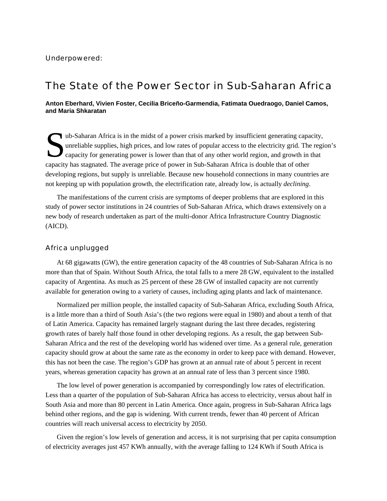### The State of the Power Sector in Sub-Saharan Africa

**Anton Eberhard, Vivien Foster, Cecilia Briceño-Garmendia, Fatimata Ouedraogo, Daniel Camos, and Maria Shkaratan**

ub-Saharan Africa is in the midst of a power crisis marked by insufficient generating capacity,<br>unreliable supplies, high prices, and low rates of popular access to the electricity grid. The regi<br>capacity for generating po unreliable supplies, high prices, and low rates of popular access to the electricity grid. The region's capacity for generating power is lower than that of any other world region, and growth in that capacity has stagnated. The average price of power in Sub-Saharan Africa is double that of other developing regions, but supply is unreliable. Because new household connections in many countries are not keeping up with population growth, the electrification rate, already low, is actually *declining*.

The manifestations of the current crisis are symptoms of deeper problems that are explored in this study of power sector institutions in 24 countries of Sub-Saharan Africa, which draws extensively on a new body of research undertaken as part of the multi-donor Africa Infrastructure Country Diagnostic (AICD).

#### Africa unplugged

At 68 gigawatts (GW), the entire generation capacity of the 48 countries of Sub-Saharan Africa is no more than that of Spain. Without South Africa, the total falls to a mere 28 GW, equivalent to the installed capacity of Argentina. As much as 25 percent of these 28 GW of installed capacity are not currently available for generation owing to a variety of causes, including aging plants and lack of maintenance.

Normalized per million people, the installed capacity of Sub-Saharan Africa, excluding South Africa, is a little more than a third of South Asia's (the two regions were equal in 1980) and about a tenth of that of Latin America. Capacity has remained largely stagnant during the last three decades, registering growth rates of barely half those found in other developing regions. As a result, the gap between Sub-Saharan Africa and the rest of the developing world has widened over time. As a general rule, generation capacity should grow at about the same rate as the economy in order to keep pace with demand. However, this has not been the case. The region's GDP has grown at an annual rate of about 5 percent in recent years, whereas generation capacity has grown at an annual rate of less than 3 percent since 1980.

The low level of power generation is accompanied by correspondingly low rates of electrification. Less than a quarter of the population of Sub-Saharan Africa has access to electricity, versus about half in South Asia and more than 80 percent in Latin America. Once again, progress in Sub-Saharan Africa lags behind other regions, and the gap is widening. With current trends, fewer than 40 percent of African countries will reach universal access to electricity by 2050.

Given the region's low levels of generation and access, it is not surprising that per capita consumption of electricity averages just 457 KWh annually, with the average falling to 124 KWh if South Africa is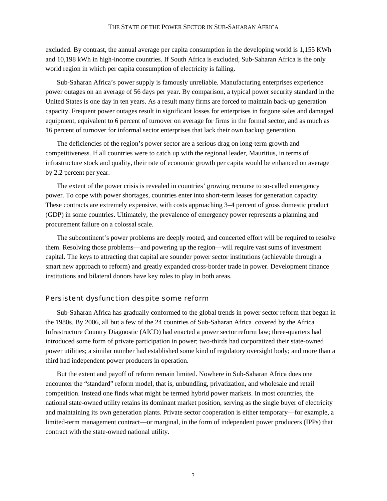excluded. By contrast, the annual average per capita consumption in the developing world is 1,155 KWh and 10,198 kWh in high-income countries. If South Africa is excluded, Sub-Saharan Africa is the only world region in which per capita consumption of electricity is falling.

Sub-Saharan Africa's power supply is famously unreliable. Manufacturing enterprises experience power outages on an average of 56 days per year. By comparison, a typical power security standard in the United States is one day in ten years. As a result many firms are forced to maintain back-up generation capacity. Frequent power outages result in significant losses for enterprises in forgone sales and damaged equipment, equivalent to 6 percent of turnover on average for firms in the formal sector, and as much as 16 percent of turnover for informal sector enterprises that lack their own backup generation.

The deficiencies of the region's power sector are a serious drag on long-term growth and competitiveness. If all countries were to catch up with the regional leader, Mauritius, in terms of infrastructure stock and quality, their rate of economic growth per capita would be enhanced on average by 2.2 percent per year.

The extent of the power crisis is revealed in countries' growing recourse to so-called emergency power. To cope with power shortages, countries enter into short-term leases for generation capacity. These contracts are extremely expensive, with costs approaching 3–4 percent of gross domestic product (GDP) in some countries. Ultimately, the prevalence of emergency power represents a planning and procurement failure on a colossal scale.

The subcontinent's power problems are deeply rooted, and concerted effort will be required to resolve them. Resolving those problems—and powering up the region—will require vast sums of investment capital. The keys to attracting that capital are sounder power sector institutions (achievable through a smart new approach to reform) and greatly expanded cross-border trade in power. Development finance institutions and bilateral donors have key roles to play in both areas.

#### Persistent dysfunction despite some reform

Sub-Saharan Africa has gradually conformed to the global trends in power sector reform that began in the 1980s. By 2006, all but a few of the 24 countries of Sub-Saharan Africa covered by the Africa Infrastructure Country Diagnostic (AICD) had enacted a power sector reform law; three-quarters had introduced some form of private participation in power; two-thirds had corporatized their state-owned power utilities; a similar number had established some kind of regulatory oversight body; and more than a third had independent power producers in operation.

But the extent and payoff of reform remain limited. Nowhere in Sub-Saharan Africa does one encounter the "standard" reform model, that is, unbundling, privatization, and wholesale and retail competition. Instead one finds what might be termed hybrid power markets. In most countries, the national state-owned utility retains its dominant market position, serving as the single buyer of electricity and maintaining its own generation plants. Private sector cooperation is either temporary—for example, a limited-term management contract—or marginal, in the form of independent power producers (IPPs) that contract with the state-owned national utility.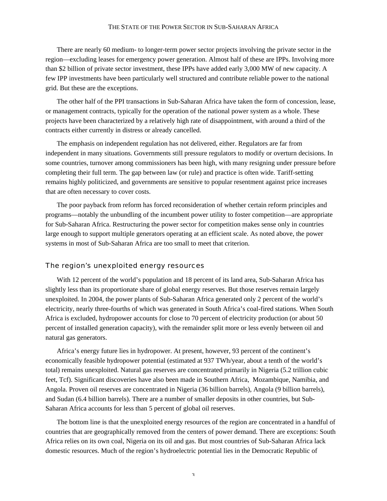#### THE STATE OF THE POWER SECTOR IN SUB-SAHARAN AFRICA

There are nearly 60 medium- to longer-term power sector projects involving the private sector in the region—excluding leases for emergency power generation. Almost half of these are IPPs. Involving more than \$2 billion of private sector investment, these IPPs have added early 3,000 MW of new capacity. A few IPP investments have been particularly well structured and contribute reliable power to the national grid. But these are the exceptions.

The other half of the PPI transactions in Sub-Saharan Africa have taken the form of concession, lease, or management contracts, typically for the operation of the national power system as a whole. These projects have been characterized by a relatively high rate of disappointment, with around a third of the contracts either currently in distress or already cancelled.

The emphasis on independent regulation has not delivered, either. Regulators are far from independent in many situations. Governments still pressure regulators to modify or overturn decisions. In some countries, turnover among commissioners has been high, with many resigning under pressure before completing their full term. The gap between law (or rule) and practice is often wide. Tariff-setting remains highly politicized, and governments are sensitive to popular resentment against price increases that are often necessary to cover costs.

The poor payback from reform has forced reconsideration of whether certain reform principles and programs—notably the unbundling of the incumbent power utility to foster competition—are appropriate for Sub-Saharan Africa. Restructuring the power sector for competition makes sense only in countries large enough to support multiple generators operating at an efficient scale. As noted above, the power systems in most of Sub-Saharan Africa are too small to meet that criterion.

#### The region's unexploited energy resources

With 12 percent of the world's population and 18 percent of its land area, Sub-Saharan Africa has slightly less than its proportionate share of global energy reserves. But those reserves remain largely unexploited. In 2004, the power plants of Sub-Saharan Africa generated only 2 percent of the world's electricity, nearly three-fourths of which was generated in South Africa's coal-fired stations. When South Africa is excluded, hydropower accounts for close to 70 percent of electricity production (or about 50 percent of installed generation capacity), with the remainder split more or less evenly between oil and natural gas generators.

Africa's energy future lies in hydropower. At present, however, 93 percent of the continent's economically feasible hydropower potential (estimated at 937 TWh/year, about a tenth of the world's total) remains unexploited. Natural gas reserves are concentrated primarily in Nigeria (5.2 trillion cubic feet, Tcf). Significant discoveries have also been made in Southern Africa, Mozambique, Namibia, and Angola. Proven oil reserves are concentrated in Nigeria (36 billion barrels), Angola (9 billion barrels), and Sudan (6.4 billion barrels). There are a number of smaller deposits in other countries, but Sub-Saharan Africa accounts for less than 5 percent of global oil reserves.

The bottom line is that the unexploited energy resources of the region are concentrated in a handful of countries that are geographically removed from the centers of power demand. There are exceptions: South Africa relies on its own coal, Nigeria on its oil and gas. But most countries of Sub-Saharan Africa lack domestic resources. Much of the region's hydroelectric potential lies in the Democratic Republic of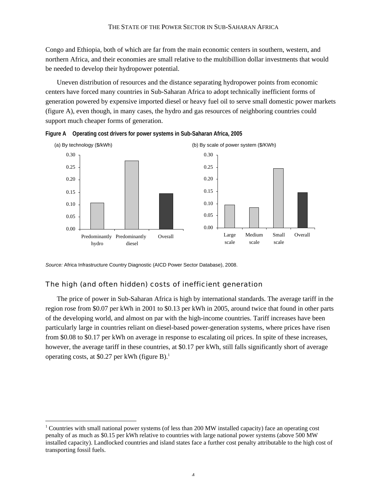Congo and Ethiopia, both of which are far from the main economic centers in southern, western, and northern Africa, and their economies are small relative to the multibillion dollar investments that would be needed to develop their hydropower potential.

Uneven distribution of resources and the distance separating hydropower points from economic centers have forced many countries in Sub-Saharan Africa to adopt technically inefficient forms of generation powered by expensive imported diesel or heavy fuel oil to serve small domestic power markets (figure A), even though, in many cases, the hydro and gas resources of neighboring countries could support much cheaper forms of generation.





*Source:* Africa Infrastructure Country Diagnostic (AICD Power Sector Database), 2008.

#### The high (and often hidden) costs of inefficient generation

The price of power in Sub-Saharan Africa is high by international standards. The average tariff in the region rose from \$0.07 per kWh in 2001 to \$0.13 per kWh in 2005, around twice that found in other parts of the developing world, and almost on par with the high-income countries. Tariff increases have been particularly large in countries reliant on diesel-based power-generation systems, where prices have risen from \$0.08 to \$0.17 per kWh on average in response to escalating oil prices. In spite of these increases, however, the average tariff in these countries, at \$0.17 per kWh, still falls significantly short of average operating costs, at \$0.27 per kWh (figure B).1

 $\frac{1}{1}$  $1$  Countries with small national power systems (of less than 200 MW installed capacity) face an operating cost penalty of as much as \$0.15 per kWh relative to countries with large national power systems (above 500 MW installed capacity). Landlocked countries and island states face a further cost penalty attributable to the high cost of transporting fossil fuels.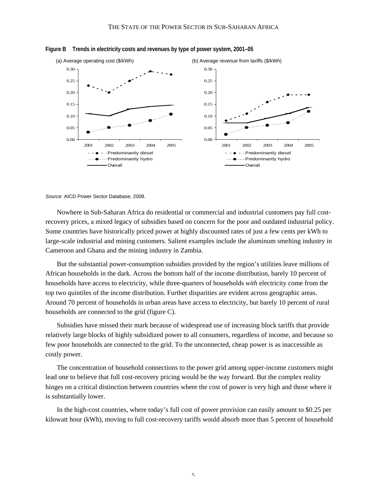

**Figure B Trends in electricity costs and revenues by type of power system, 2001–05**

*Source:* AICD Power Sector Database, 2008.

Nowhere in Sub-Saharan Africa do residential or commercial and industrial customers pay full costrecovery prices, a mixed legacy of subsidies based on concern for the poor and outdated industrial policy. Some countries have historically priced power at highly discounted rates of just a few cents per kWh to large-scale industrial and mining customers. Salient examples include the aluminum smelting industry in Cameroon and Ghana and the mining industry in Zambia.

But the substantial power-consumption subsidies provided by the region's utilities leave millions of African households in the dark. Across the bottom half of the income distribution, barely 10 percent of households have access to electricity, while three-quarters of households *with* electricity come from the top two quintiles of the income distribution. Further disparities are evident across geographic areas. Around 70 percent of households in urban areas have access to electricity, but barely 10 percent of rural households are connected to the grid (figure C).

Subsidies have missed their mark because of widespread use of increasing block tariffs that provide relatively large blocks of highly subsidized power to all consumers, regardless of income, and because so few poor households are connected to the grid. To the unconnected, cheap power is as inaccessible as costly power.

The concentration of household connections to the power grid among upper-income customers might lead one to believe that full cost-recovery pricing would be the way forward. But the complex reality hinges on a critical distinction between countries where the cost of power is very high and those where it is substantially lower.

In the high-cost countries, where today's full cost of power provision can easily amount to \$0.25 per kilowatt hour (kWh), moving to full cost-recovery tariffs would absorb more than 5 percent of household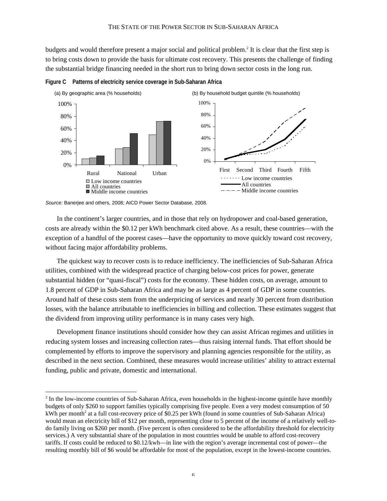budgets and would therefore present a major social and political problem.<sup>2</sup> It is clear that the first step is to bring costs down to provide the basis for ultimate cost recovery. This presents the challenge of finding the substantial bridge financing needed in the short run to bring down sector costs in the long run.



**Figure C Patterns of electricity service coverage in Sub-Saharan Africa**

*Source:* Banerjee and others, 2008; AICD Power Sector Database, 2008.

In the continent's larger countries, and in those that rely on hydropower and coal-based generation, costs are already within the \$0.12 per kWh benchmark cited above. As a result, these countries—with the exception of a handful of the poorest cases—have the opportunity to move quickly toward cost recovery, without facing major affordability problems.

The quickest way to recover costs is to reduce inefficiency. The inefficiencies of Sub-Saharan Africa utilities, combined with the widespread practice of charging below-cost prices for power, generate substantial hidden (or "quasi-fiscal") costs for the economy. These hidden costs, on average, amount to 1.8 percent of GDP in Sub-Saharan Africa and may be as large as 4 percent of GDP in some countries. Around half of these costs stem from the underpricing of services and nearly 30 percent from distribution losses, with the balance attributable to inefficiencies in billing and collection. These estimates suggest that the dividend from improving utility performance is in many cases very high.

Development finance institutions should consider how they can assist African regimes and utilities in reducing system losses and increasing collection rates—thus raising internal funds. That effort should be complemented by efforts to improve the supervisory and planning agencies responsible for the utility, as described in the next section. Combined, these measures would increase utilities' ability to attract external funding, public and private, domestic and international.

 $\frac{1}{2}$ <sup>2</sup> In the low-income countries of Sub-Saharan Africa, even households in the highest-income quintile have monthly budgets of only \$260 to support families typically comprising five people. Even a very modest consumption of 50 kWh per month<sup>2</sup> at a full cost-recovery price of \$0.25 per kWh (found in some countries of Sub-Saharan Africa) would mean an electricity bill of \$12 per month, representing close to 5 percent of the income of a relatively well-todo family living on \$260 per month. (Five percent is often considered to be the affordability threshold for electricity services.) A very substantial share of the population in most countries would be unable to afford cost-recovery tariffs. If costs could be reduced to \$0.12/kwh—in line with the region's average incremental cost of power—the resulting monthly bill of \$6 would be affordable for most of the population, except in the lowest-income countries.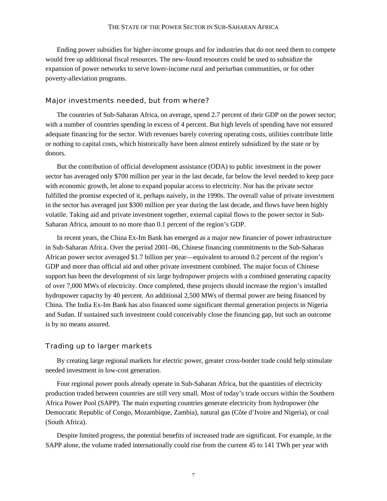Ending power subsidies for higher-income groups and for industries that do not need them to compete would free up additional fiscal resources. The new-found resources could be used to subsidize the expansion of power networks to serve lower-income rural and periurban communities, or for other poverty-alleviation programs.

#### Major investments needed, but from where?

The countries of Sub-Saharan Africa, on average, spend 2.7 percent of their GDP on the power sector; with a number of countries spending in excess of 4 percent. But high levels of spending have not ensured adequate financing for the sector. With revenues barely covering operating costs, utilities contribute little or nothing to capital costs, which historically have been almost entirely subsidized by the state or by donors.

But the contribution of official development assistance (ODA) to public investment in the power sector has averaged only \$700 million per year in the last decade, far below the level needed to keep pace with economic growth, let alone to expand popular access to electricity. Nor has the private sector fulfilled the promise expected of it, perhaps naively, in the 1990s. The overall value of private investment in the sector has averaged just \$300 million per year during the last decade, and flows have been highly volatile. Taking aid and private investment together, external capital flows to the power sector in Sub-Saharan Africa, amount to no more than 0.1 percent of the region's GDP.

In recent years, the China Ex-Im Bank has emerged as a major new financier of power infrastructure in Sub-Saharan Africa. Over the period 2001–06, Chinese financing commitments to the Sub-Saharan African power sector averaged \$1.7 billion per year—equivalent to around 0.2 percent of the region's GDP and more than official aid and other private investment combined. The major focus of Chinese support has been the development of six large hydropower projects with a combined generating capacity of over 7,000 MWs of electricity. Once completed, these projects should increase the region's installed hydropower capacity by 40 percent. An additional 2,500 MWs of thermal power are being financed by China. The India Ex-Im Bank has also financed some significant thermal generation projects in Nigeria and Sudan. If sustained such investment could conceivably close the financing gap, but such an outcome is by no means assured.

#### Trading up to larger markets

By creating large regional markets for electric power, greater cross-border trade could help stimulate needed investment in low-cost generation.

Four regional power pools already operate in Sub-Saharan Africa, but the quantities of electricity production traded between countries are still very small. Most of today's trade occurs within the Southern Africa Power Pool (SAPP). The main exporting countries generate electricity from hydropower (the Democratic Republic of Congo, Mozambique, Zambia), natural gas (Côte d'Ivoire and Nigeria), or coal (South Africa).

Despite limited progress, the potential benefits of increased trade are significant. For example, in the SAPP alone, the volume traded internationally could rise from the current 45 to 141 TWh per year with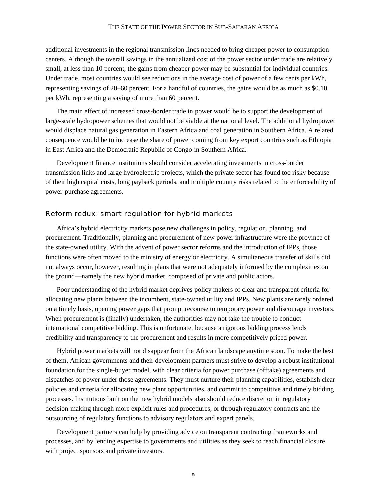#### THE STATE OF THE POWER SECTOR IN SUB-SAHARAN AFRICA

additional investments in the regional transmission lines needed to bring cheaper power to consumption centers. Although the overall savings in the annualized cost of the power sector under trade are relatively small, at less than 10 percent, the gains from cheaper power may be substantial for individual countries. Under trade, most countries would see reductions in the average cost of power of a few cents per kWh, representing savings of 20–60 percent. For a handful of countries, the gains would be as much as \$0.10 per kWh, representing a saving of more than 60 percent.

The main effect of increased cross-border trade in power would be to support the development of large-scale hydropower schemes that would not be viable at the national level. The additional hydropower would displace natural gas generation in Eastern Africa and coal generation in Southern Africa. A related consequence would be to increase the share of power coming from key export countries such as Ethiopia in East Africa and the Democratic Republic of Congo in Southern Africa.

Development finance institutions should consider accelerating investments in cross-border transmission links and large hydroelectric projects, which the private sector has found too risky because of their high capital costs, long payback periods, and multiple country risks related to the enforceability of power-purchase agreements.

#### Reform redux: smart regulation for hybrid markets

Africa's hybrid electricity markets pose new challenges in policy, regulation, planning, and procurement. Traditionally, planning and procurement of new power infrastructure were the province of the state-owned utility. With the advent of power sector reforms and the introduction of IPPs, those functions were often moved to the ministry of energy or electricity. A simultaneous transfer of skills did not always occur, however, resulting in plans that were not adequately informed by the complexities on the ground—namely the new hybrid market, composed of private and public actors.

Poor understanding of the hybrid market deprives policy makers of clear and transparent criteria for allocating new plants between the incumbent, state-owned utility and IPPs. New plants are rarely ordered on a timely basis, opening power gaps that prompt recourse to temporary power and discourage investors. When procurement is (finally) undertaken, the authorities may not take the trouble to conduct international competitive bidding. This is unfortunate, because a rigorous bidding process lends credibility and transparency to the procurement and results in more competitively priced power.

Hybrid power markets will not disappear from the African landscape anytime soon. To make the best of them, African governments and their development partners must strive to develop a robust institutional foundation for the single-buyer model, with clear criteria for power purchase (offtake) agreements and dispatches of power under those agreements. They must nurture their planning capabilities, establish clear policies and criteria for allocating new plant opportunities, and commit to competitive and timely bidding processes. Institutions built on the new hybrid models also should reduce discretion in regulatory decision-making through more explicit rules and procedures, or through regulatory contracts and the outsourcing of regulatory functions to advisory regulators and expert panels.

Development partners can help by providing advice on transparent contracting frameworks and processes, and by lending expertise to governments and utilities as they seek to reach financial closure with project sponsors and private investors.